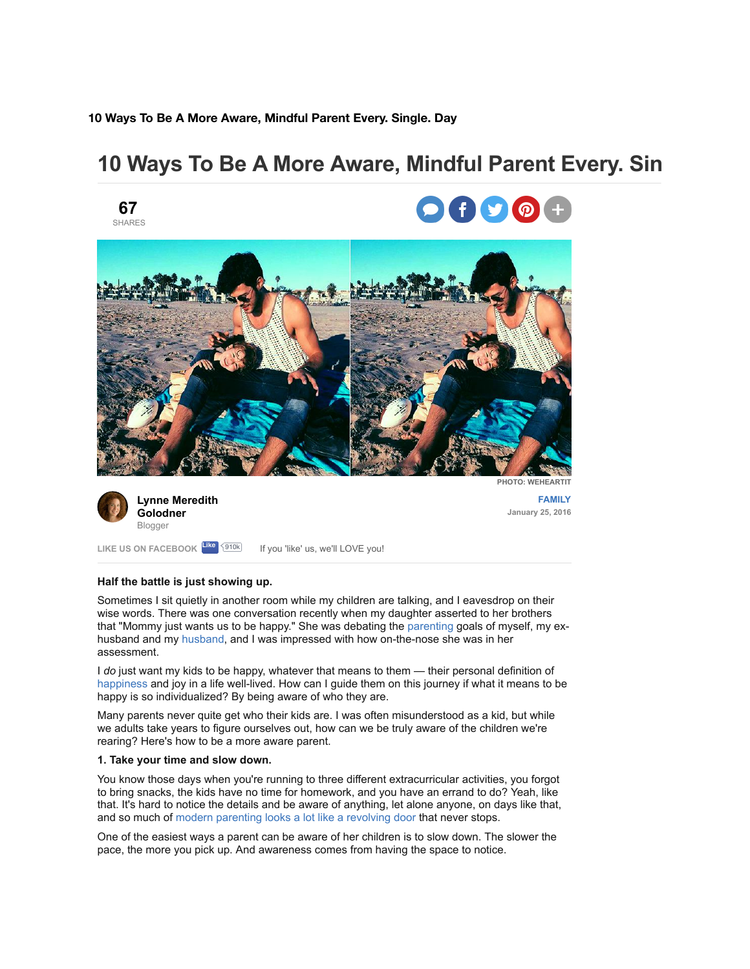**10 Ways To Be A More Aware, Mindful Parent Every. Single. Day**

# **10 Ways To Be A More Aware, Mindful Parent Every. Sin**









**[Lynne Meredith](http://www.yourtango.com/users/lynne-meredith-golodner) Golodner** Blogger

**[FAMILY](http://www.yourtango.com/family) January 25, 2016**

**Half the battle is just showing up.**

LIKE US ON FACEBOOK <sup>Like</sup> <sup>{910k</sup> lf you 'like' us, we'll LOVE you!

Sometimes I sit quietly in another room while my children are talking, and I eavesdrop on their wise words. There was one conversation recently when my daughter asserted to her brothers that "Mommy just wants us to be happy." She was debating the [parenting](http://www.yourtango.com/parenting) goals of myself, my exhusband and my [husband,](http://www.yourtango.com/2013197121/marriage-i-put-my-husband-my-child) and I was impressed with how on-the-nose she was in her assessment.

I *do* just want my kids to be happy, whatever that means to them — their personal definition of [happiness](http://www.yourtango.com/experts/isabelschwab/do-you-have-what-it-takes-to-be-happy) and joy in a life well-lived. How can I guide them on this journey if what it means to be happy is so individualized? By being aware of who they are.

Many parents never quite get who their kids are. I was often misunderstood as a kid, but while we adults take years to figure ourselves out, how can we be truly aware of the children we're rearing? Here's how to be a more aware parent.

# **1. Take your time and slow down.**

You know those days when you're running to three different extracurricular activities, you forgot to bring snacks, the kids have no time for homework, and you have an errand to do? Yeah, like that. It's hard to notice the details and be aware of anything, let alone anyone, on days like that, and so much of [modern parenting looks a lot like a revolving door](http://www.yourtango.com/parenting) that never stops.

One of the easiest ways a parent can be aware of her children is to slow down. The slower the pace, the more you pick up. And awareness comes from having the space to notice.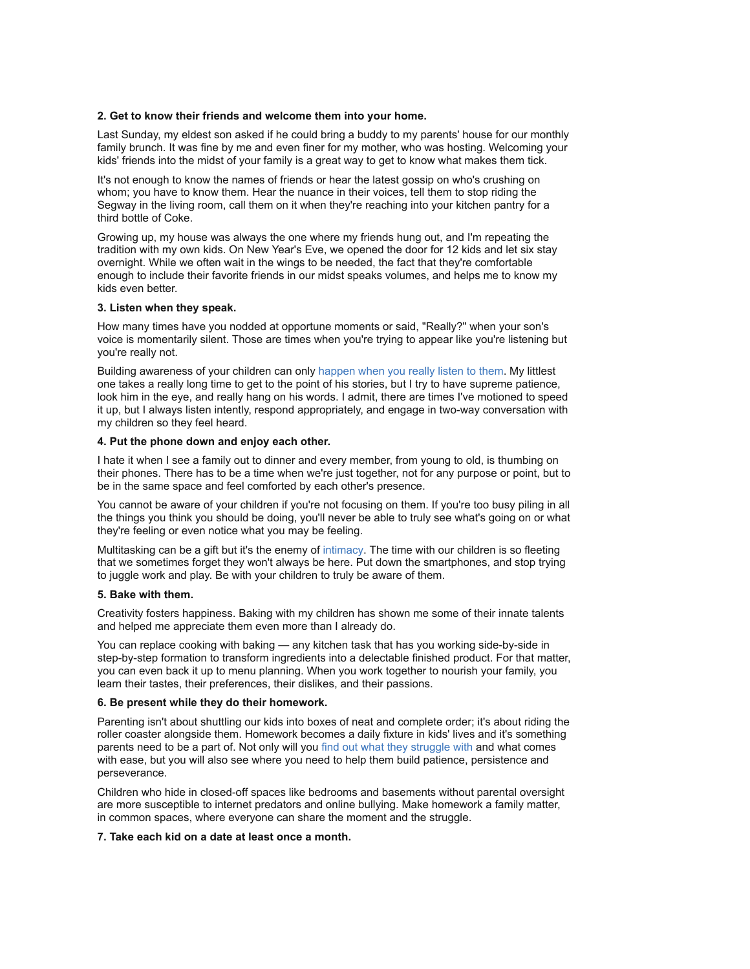#### **2. Get to know their friends and welcome them into your home.**

Last Sunday, my eldest son asked if he could bring a buddy to my parents' house for our monthly family brunch. It was fine by me and even finer for my mother, who was hosting. Welcoming your kids' friends into the midst of your family is a great way to get to know what makes them tick.

It's not enough to know the names of friends or hear the latest gossip on who's crushing on whom; you have to know them. Hear the nuance in their voices, tell them to stop riding the Segway in the living room, call them on it when they're reaching into your kitchen pantry for a third bottle of Coke.

Growing up, my house was always the one where my friends hung out, and I'm repeating the tradition with my own kids. On New Year's Eve, we opened the door for 12 kids and let six stay overnight. While we often wait in the wings to be needed, the fact that they're comfortable enough to include their favorite friends in our midst speaks volumes, and helps me to know my kids even better.

#### **3. Listen when they speak.**

How many times have you nodded at opportune moments or said, "Really?" when your son's voice is momentarily silent. Those are times when you're trying to appear like you're listening but you're really not.

Building awareness of your children can only [happen when you really listen to them.](http://www.webmd.com/parenting/features/listening-to-your-kids) My littlest one takes a really long time to get to the point of his stories, but I try to have supreme patience, look him in the eye, and really hang on his words. I admit, there are times I've motioned to speed it up, but I always listen intently, respond appropriately, and engage in two-way conversation with my children so they feel heard.

#### **4. Put the phone down and enjoy each other.**

I hate it when I see a family out to dinner and every member, from young to old, is thumbing on their phones. There has to be a time when we're just together, not for any purpose or point, but to be in the same space and feel comforted by each other's presence.

You cannot be aware of your children if you're not focusing on them. If you're too busy piling in all the things you think you should be doing, you'll never be able to truly see what's going on or what they're feeling or even notice what you may be feeling.

Multitasking can be a gift but it's the enemy of [intimacy.](http://www.yourtango.com/2013186634/5-stages-intimacy-relationship) The time with our children is so fleeting that we sometimes forget they won't always be here. Put down the smartphones, and stop trying to juggle work and play. Be with your children to truly be aware of them.

#### **5. Bake with them.**

Creativity fosters happiness. Baking with my children has shown me some of their innate talents and helped me appreciate them even more than I already do.

You can replace cooking with baking — any kitchen task that has you working side-by-side in step-by-step formation to transform ingredients into a delectable finished product. For that matter, you can even back it up to menu planning. When you work together to nourish your family, you learn their tastes, their preferences, their dislikes, and their passions.

#### **6. Be present while they do their homework.**

Parenting isn't about shuttling our kids into boxes of neat and complete order; it's about riding the roller coaster alongside them. Homework becomes a daily fixture in kids' lives and it's something parents need to be a part of. Not only will you [find out what they struggle with](http://www.parenting.com/article/help-kids-with-homework) and what comes with ease, but you will also see where you need to help them build patience, persistence and perseverance.

Children who hide in closed-off spaces like bedrooms and basements without parental oversight are more susceptible to internet predators and online bullying. Make homework a family matter, in common spaces, where everyone can share the moment and the struggle.

# **7. Take each kid on a date at least once a month.**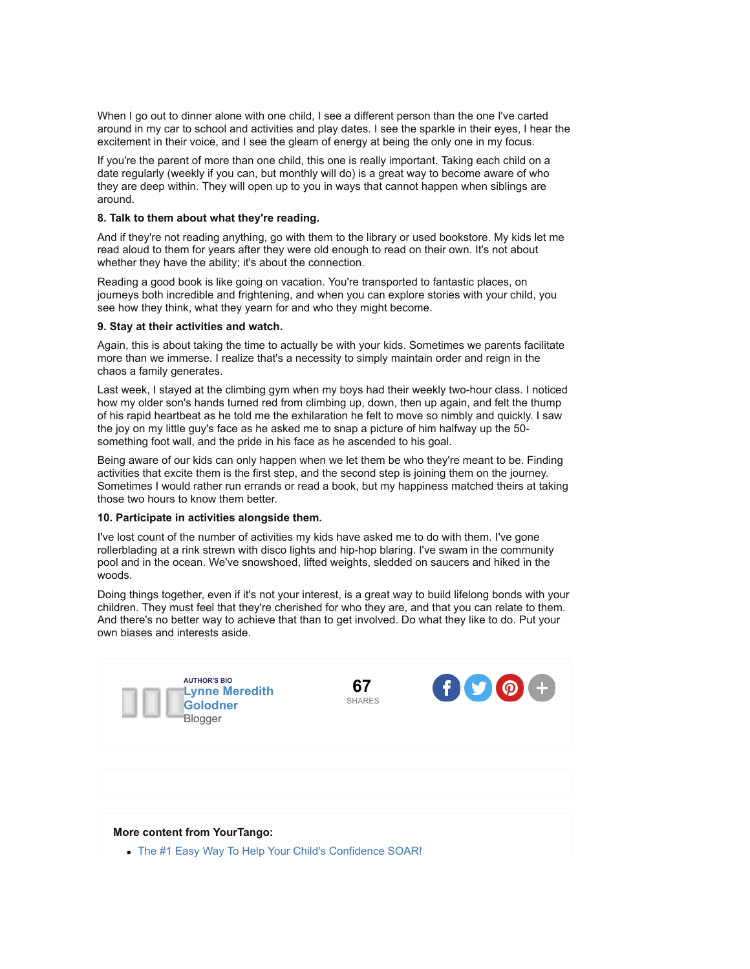When I go out to dinner alone with one child, I see a different person than the one I've carted around in my car to school and activities and play dates. I see the sparkle in their eyes, I hear the excitement in their voice, and I see the gleam of energy at being the only one in my focus.

If you're the parent of more than one child, this one is really important. Taking each child on a date regularly (weekly if you can, but monthly will do) is a great way to become aware of who they are deep within. They will open up to you in ways that cannot happen when siblings are around.

# **8. Talk to them about what they're reading.**

And if they're not reading anything, go with them to the library or used bookstore. My kids let me read aloud to them for years after they were old enough to read on their own. It's not about whether they have the ability; it's about the connection.

Reading a good book is like going on vacation. You're transported to fantastic places, on journeys both incredible and frightening, and when you can explore stories with your child, you see how they think, what they yearn for and who they might become.

# **9. Stay at their activities and watch.**

Again, this is about taking the time to actually be with your kids. Sometimes we parents facilitate more than we immerse. I realize that's a necessity to simply maintain order and reign in the chaos a family generates.

Last week, I stayed at the climbing gym when my boys had their weekly two-hour class. I noticed how my older son's hands turned red from climbing up, down, then up again, and felt the thump of his rapid heartbeat as he told me the exhilaration he felt to move so nimbly and quickly. I saw the joy on my little guy's face as he asked me to snap a picture of him halfway up the 50 something foot wall, and the pride in his face as he ascended to his goal.

Being aware of our kids can only happen when we let them be who they're meant to be. Finding activities that excite them is the first step, and the second step is joining them on the journey. Sometimes I would rather run errands or read a book, but my happiness matched theirs at taking those two hours to know them better.

# **10. Participate in activities alongside them.**

I've lost count of the number of activities my kids have asked me to do with them. I've gone rollerblading at a rink strewn with disco lights and hip-hop blaring. I've swam in the community pool and in the ocean. We've snowshoed, lifted weights, sledded on saucers and hiked in the woods.

Doing things together, even if it's not your interest, is a great way to build lifelong bonds with your children. They must feel that they're cherished for who they are, and that you can relate to them. And there's no better way to achieve that than to get involved. Do what they like to do. Put your own biases and interests aside.



#### **More content from YourTango:**

[The #1 Easy Way To Help Your Child's Confidence SOAR!](http://www.yourtango.com/experts/mark-papadas/10-parenting-secrets-empower-kids-secret-1-be-great)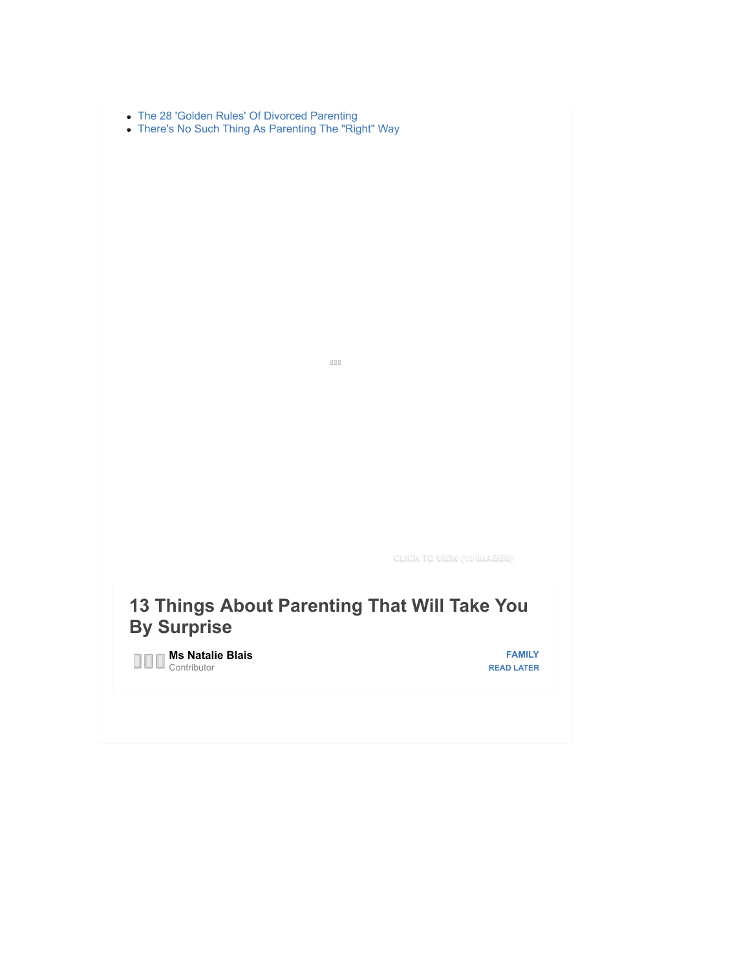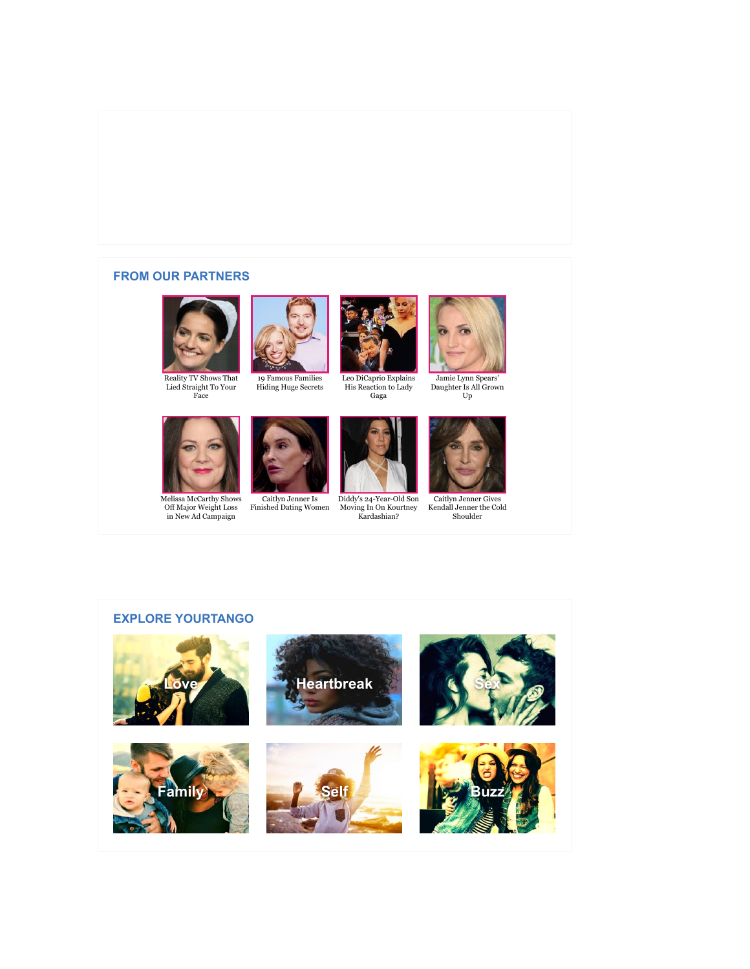# **FROM OUR PARTNERS**











[Leo DiCaprio Explains](http://www.zergnet.com/i/845914/13332/0/0/0) His Reaction to Lady Gaga



Jamie Lynn Spears' [Daughter Is All Grown](http://www.zergnet.com/i/824636/13332/0/0/0)  $\operatorname{Up}$ 



[Melissa McCarthy Shows](http://www.zergnet.com/i/808268/13332/0/0/0) Off Major Weight Loss in New Ad Campaign





Caitlyn Jenner Is [Finished Dating Women](http://www.zergnet.com/i/855965/13332/0/0/0) [Diddy's 24-Year-Old Son](http://www.zergnet.com/i/820406/13332/0/0/0) Moving In On Kourtney Kardashian?



Caitlyn Jenner Gives [Kendall Jenner the Cold](http://www.zergnet.com/i/774696/13332/0/0/0) Shoulder

# **EXPLORE YOURTANGO**

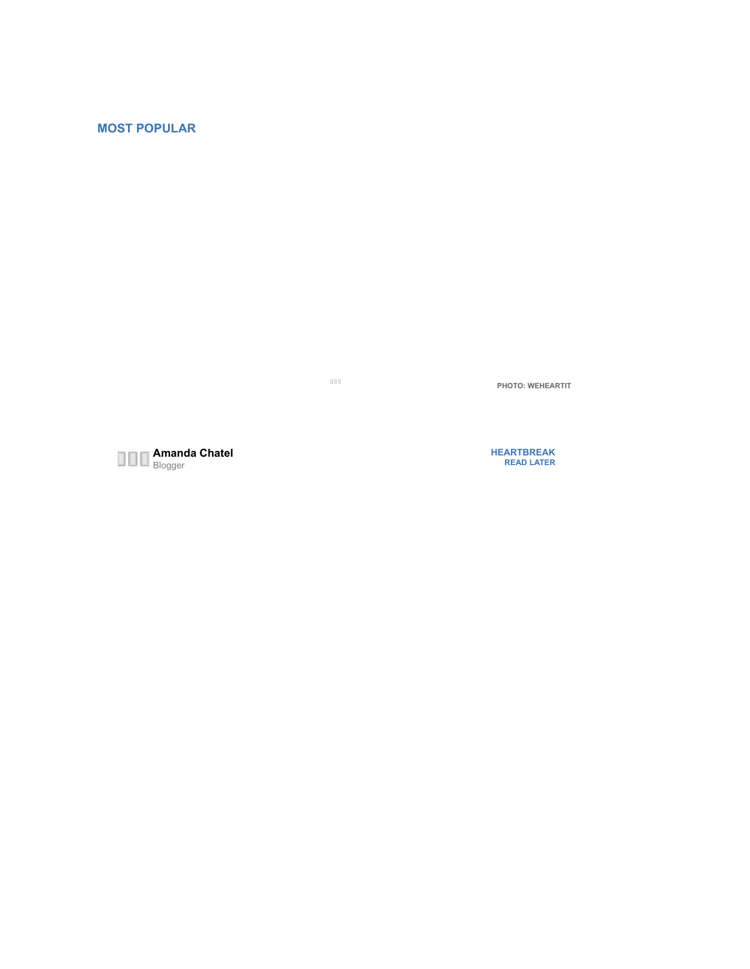# **MOST POPULAR**

 $_{\mathrm{DD}}$ 

**PHOTO: WEHEARTIT**



**[HEARTBREAK](http://www.yourtango.com/heartbreak) [READ LATER](http://www.yourtango.com/2016284872/ten-ways-be-more-aware-mindful-parent-every-single-day#)**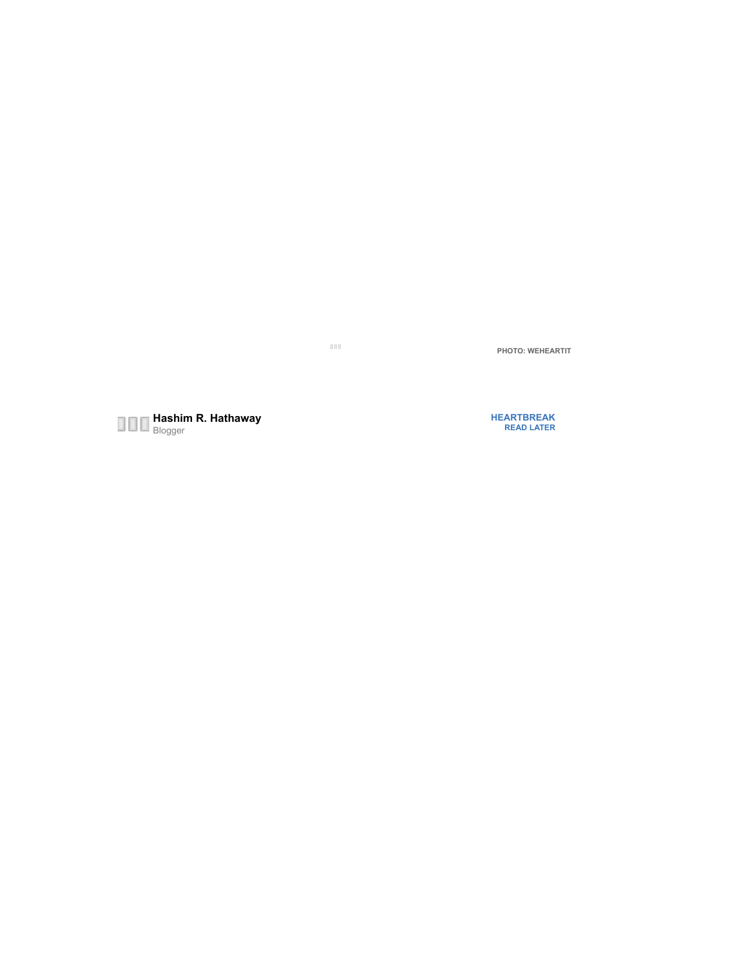$_{\rm{DD}}$ 

**PHOTO: WEHEARTIT**



**[HEARTBREAK](http://www.yourtango.com/heartbreak) [READ LATER](http://www.yourtango.com/2016284872/ten-ways-be-more-aware-mindful-parent-every-single-day#)**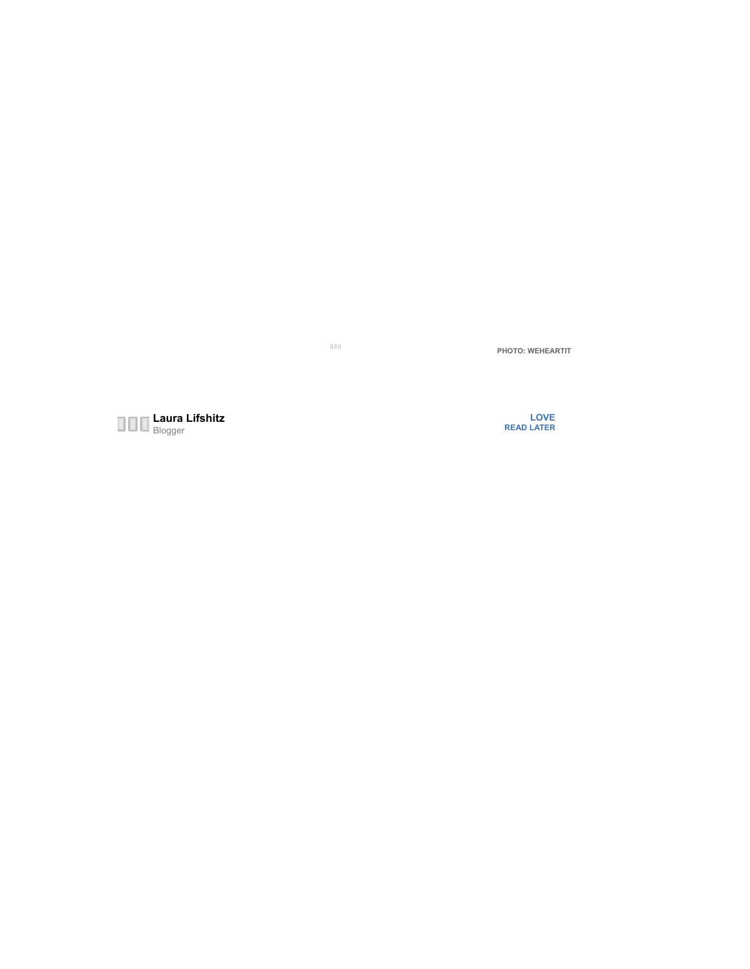$_{\rm 000}$ 

**PHOTO: WEHEARTIT**

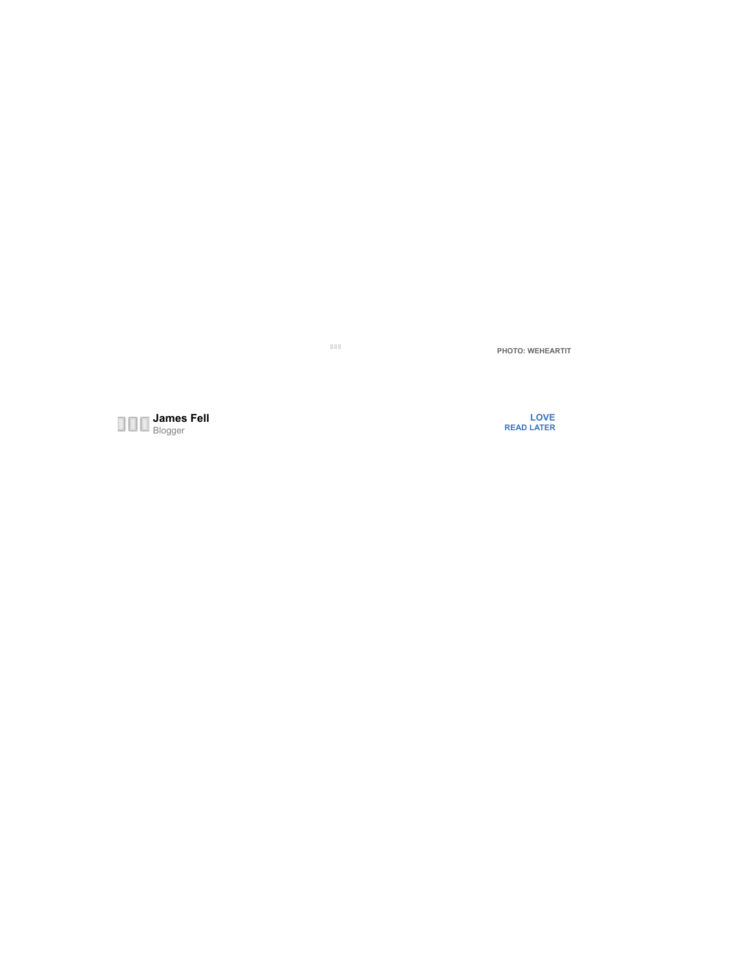$_{\rm 000}$ 

**PHOTO: WEHEARTIT**

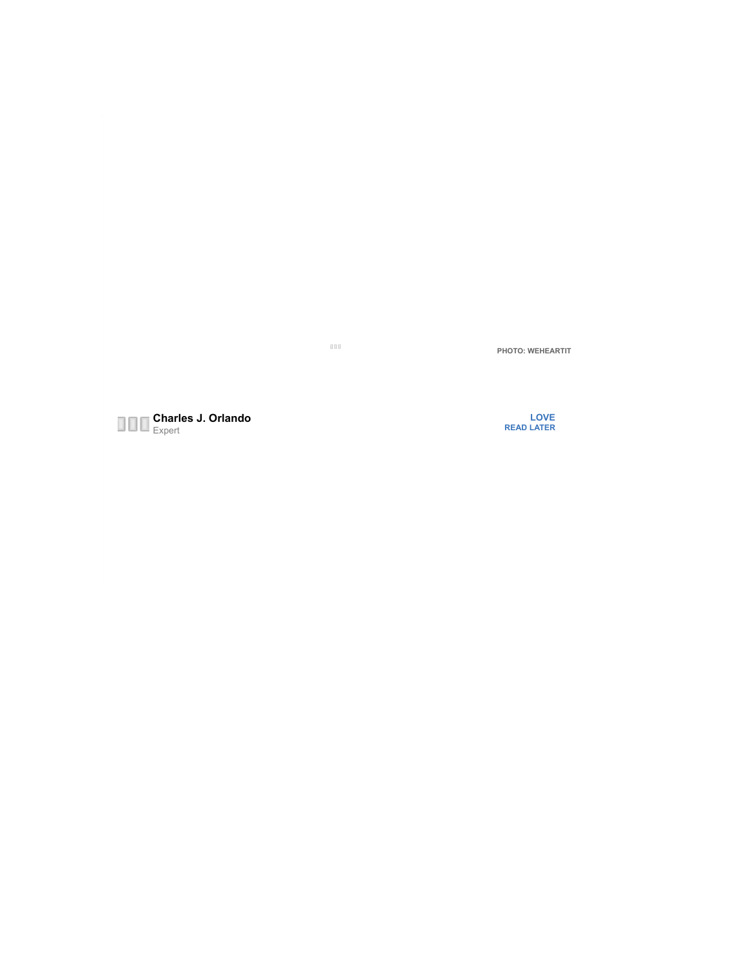$_{\rm{BH}}$ 

**PHOTO: WEHEARTIT**



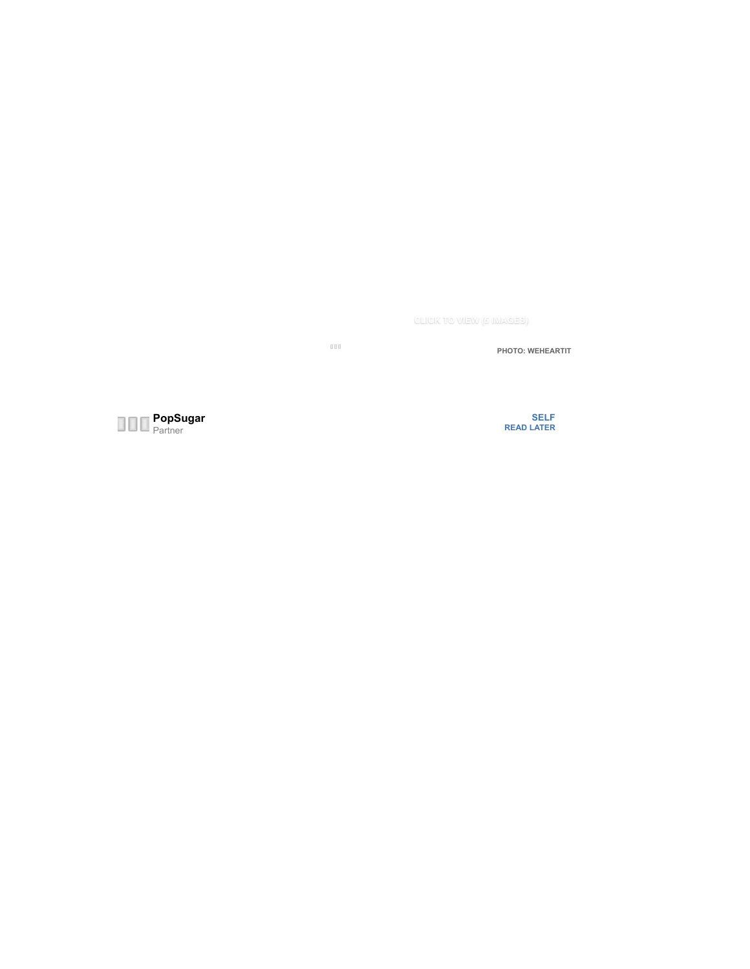**[CLICK TO VIEW \(5 IMAGES\)](http://www.yourtango.com/2015284434/5-booty-lifting-exercises-thatll-perk-you-up-no-time)**

 $_{\rm 000}$ 

**PHOTO: WEHEARTIT**



**[SELF](http://www.yourtango.com/self) [READ LATER](http://www.yourtango.com/2016284872/ten-ways-be-more-aware-mindful-parent-every-single-day#)**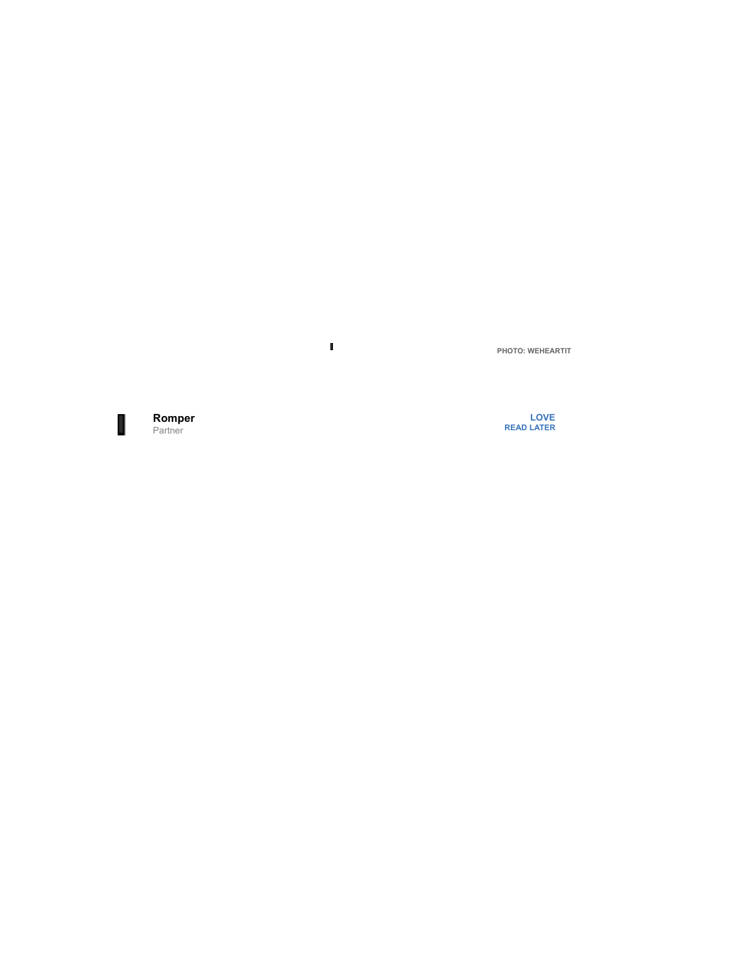Ī.

**PHOTO: WEHEARTIT**

**[Romper](http://www.yourtango.com/users/romper)** П Partner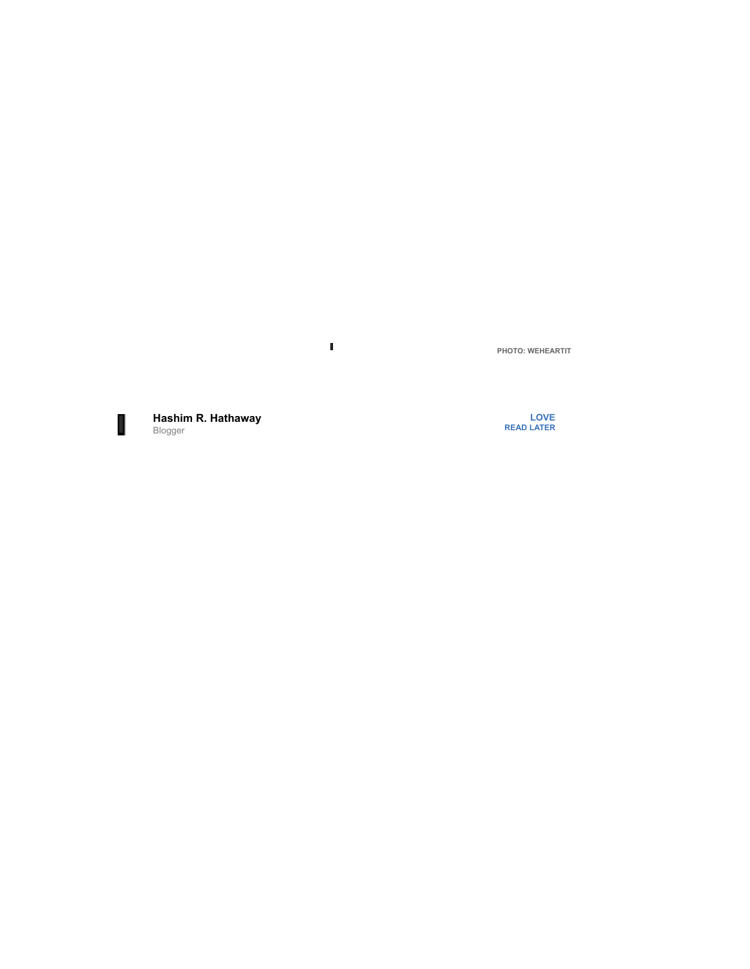**PHOTO: WEHEARTIT**



**[Hashim R. Hathaway](http://www.yourtango.com/users/hashim-hathaway)** Blogger

Ī.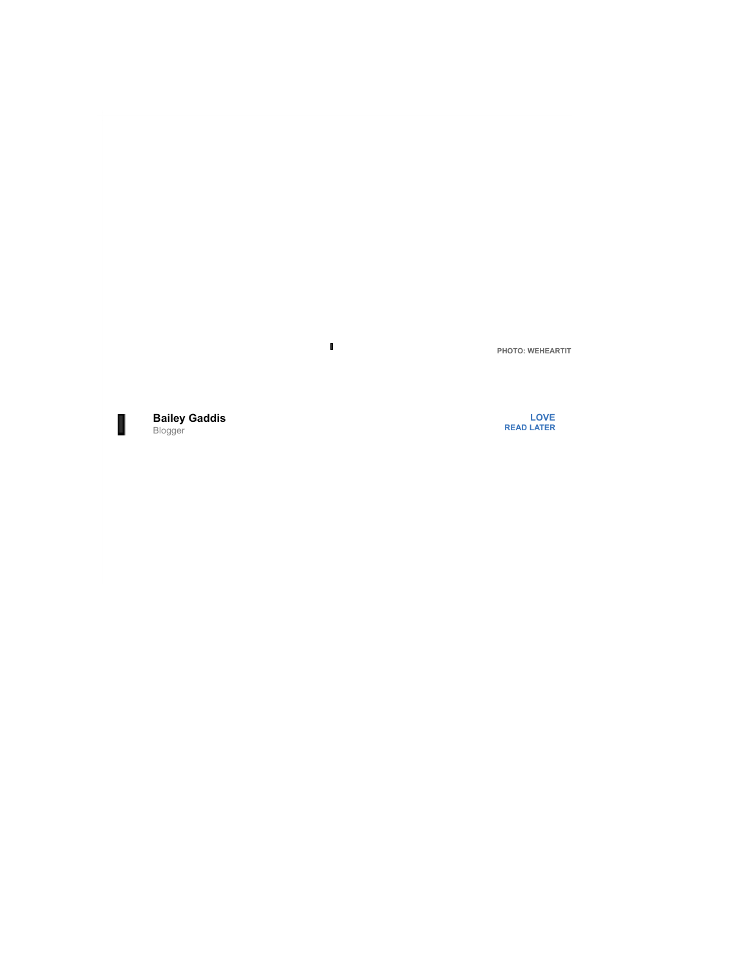Ī.



**[Bailey Gaddis](http://www.yourtango.com/users/bailey-gaddis)** Blogger

**[LOVE](http://www.yourtango.com/love) [READ LATER](http://www.yourtango.com/2016284872/ten-ways-be-more-aware-mindful-parent-every-single-day#)**

**PHOTO: WEHEARTIT**